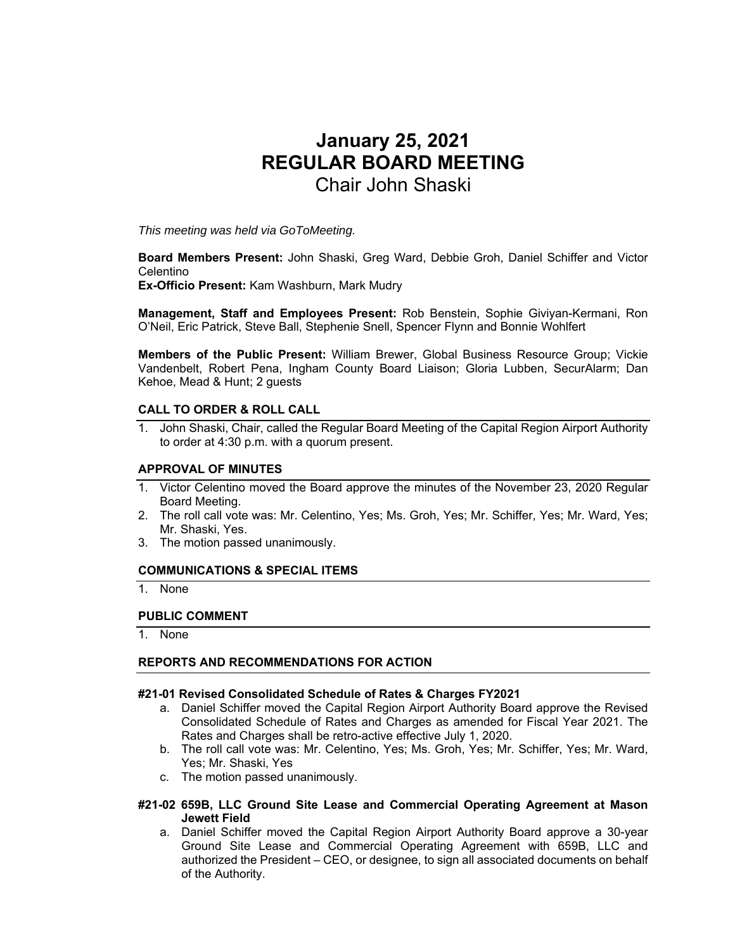# **January 25, 2021 REGULAR BOARD MEETING**  Chair John Shaski

*This meeting was held via GoToMeeting.* 

**Board Members Present:** John Shaski, Greg Ward, Debbie Groh, Daniel Schiffer and Victor Celentino

**Ex-Officio Present:** Kam Washburn, Mark Mudry

**Management, Staff and Employees Present:** Rob Benstein, Sophie Giviyan-Kermani, Ron O'Neil, Eric Patrick, Steve Ball, Stephenie Snell, Spencer Flynn and Bonnie Wohlfert

**Members of the Public Present:** William Brewer, Global Business Resource Group; Vickie Vandenbelt, Robert Pena, Ingham County Board Liaison; Gloria Lubben, SecurAlarm; Dan Kehoe, Mead & Hunt; 2 guests

## **CALL TO ORDER & ROLL CALL**

1. John Shaski, Chair, called the Regular Board Meeting of the Capital Region Airport Authority to order at 4:30 p.m. with a quorum present.

#### **APPROVAL OF MINUTES**

- 1. Victor Celentino moved the Board approve the minutes of the November 23, 2020 Regular Board Meeting.
- 2. The roll call vote was: Mr. Celentino, Yes; Ms. Groh, Yes; Mr. Schiffer, Yes; Mr. Ward, Yes; Mr. Shaski, Yes.
- 3. The motion passed unanimously.

#### **COMMUNICATIONS & SPECIAL ITEMS**

1. None

#### **PUBLIC COMMENT**

1. None

#### **REPORTS AND RECOMMENDATIONS FOR ACTION**

#### **#21-01 Revised Consolidated Schedule of Rates & Charges FY2021**

- a. Daniel Schiffer moved the Capital Region Airport Authority Board approve the Revised Consolidated Schedule of Rates and Charges as amended for Fiscal Year 2021. The Rates and Charges shall be retro-active effective July 1, 2020.
- b. The roll call vote was: Mr. Celentino, Yes; Ms. Groh, Yes; Mr. Schiffer, Yes; Mr. Ward, Yes; Mr. Shaski, Yes
- c. The motion passed unanimously.

#### **#21-02 659B, LLC Ground Site Lease and Commercial Operating Agreement at Mason Jewett Field**

a. Daniel Schiffer moved the Capital Region Airport Authority Board approve a 30-year Ground Site Lease and Commercial Operating Agreement with 659B, LLC and authorized the President – CEO, or designee, to sign all associated documents on behalf of the Authority.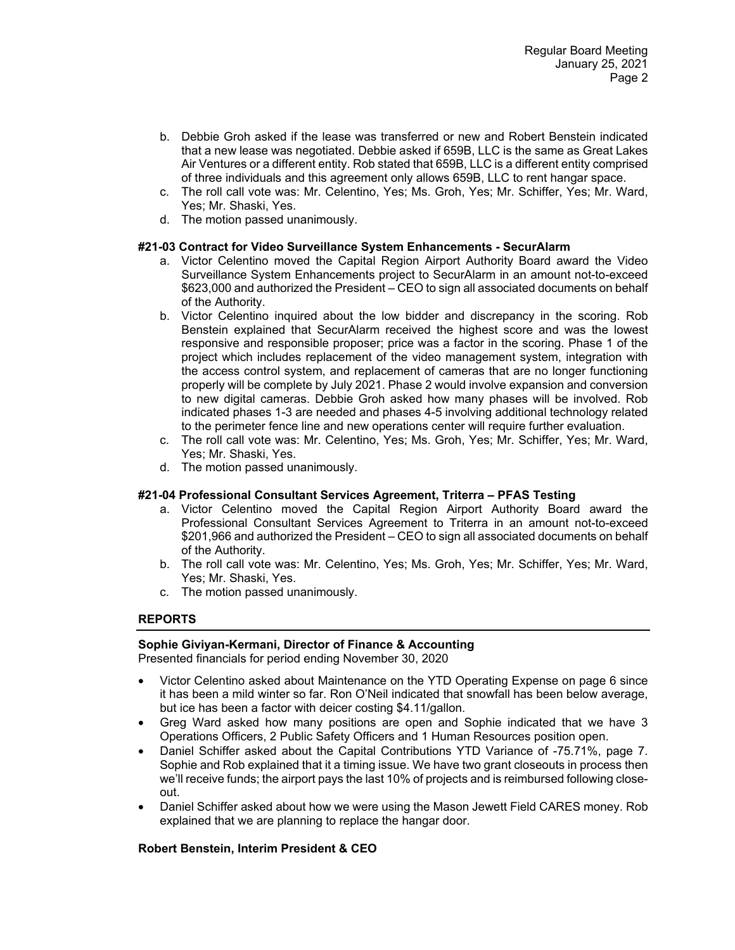- b. Debbie Groh asked if the lease was transferred or new and Robert Benstein indicated that a new lease was negotiated. Debbie asked if 659B, LLC is the same as Great Lakes Air Ventures or a different entity. Rob stated that 659B, LLC is a different entity comprised of three individuals and this agreement only allows 659B, LLC to rent hangar space.
- c. The roll call vote was: Mr. Celentino, Yes; Ms. Groh, Yes; Mr. Schiffer, Yes; Mr. Ward, Yes; Mr. Shaski, Yes.
- d. The motion passed unanimously.

## **#21-03 Contract for Video Surveillance System Enhancements - SecurAlarm**

- a. Victor Celentino moved the Capital Region Airport Authority Board award the Video Surveillance System Enhancements project to SecurAlarm in an amount not-to-exceed \$623,000 and authorized the President – CEO to sign all associated documents on behalf of the Authority.
- b. Victor Celentino inquired about the low bidder and discrepancy in the scoring. Rob Benstein explained that SecurAlarm received the highest score and was the lowest responsive and responsible proposer; price was a factor in the scoring. Phase 1 of the project which includes replacement of the video management system, integration with the access control system, and replacement of cameras that are no longer functioning properly will be complete by July 2021. Phase 2 would involve expansion and conversion to new digital cameras. Debbie Groh asked how many phases will be involved. Rob indicated phases 1-3 are needed and phases 4-5 involving additional technology related to the perimeter fence line and new operations center will require further evaluation.
- c. The roll call vote was: Mr. Celentino, Yes; Ms. Groh, Yes; Mr. Schiffer, Yes; Mr. Ward, Yes; Mr. Shaski, Yes.
- d. The motion passed unanimously.

## **#21-04 Professional Consultant Services Agreement, Triterra – PFAS Testing**

- a. Victor Celentino moved the Capital Region Airport Authority Board award the Professional Consultant Services Agreement to Triterra in an amount not-to-exceed \$201,966 and authorized the President – CEO to sign all associated documents on behalf of the Authority.
- b. The roll call vote was: Mr. Celentino, Yes; Ms. Groh, Yes; Mr. Schiffer, Yes; Mr. Ward, Yes; Mr. Shaski, Yes.
- c. The motion passed unanimously.

## **REPORTS**

## **Sophie Giviyan-Kermani, Director of Finance & Accounting**

Presented financials for period ending November 30, 2020

- Victor Celentino asked about Maintenance on the YTD Operating Expense on page 6 since it has been a mild winter so far. Ron O'Neil indicated that snowfall has been below average, but ice has been a factor with deicer costing \$4.11/gallon.
- Greg Ward asked how many positions are open and Sophie indicated that we have 3 Operations Officers, 2 Public Safety Officers and 1 Human Resources position open.
- Daniel Schiffer asked about the Capital Contributions YTD Variance of -75.71%, page 7. Sophie and Rob explained that it a timing issue. We have two grant closeouts in process then we'll receive funds; the airport pays the last 10% of projects and is reimbursed following closeout.
- Daniel Schiffer asked about how we were using the Mason Jewett Field CARES money. Rob explained that we are planning to replace the hangar door.

# **Robert Benstein, Interim President & CEO**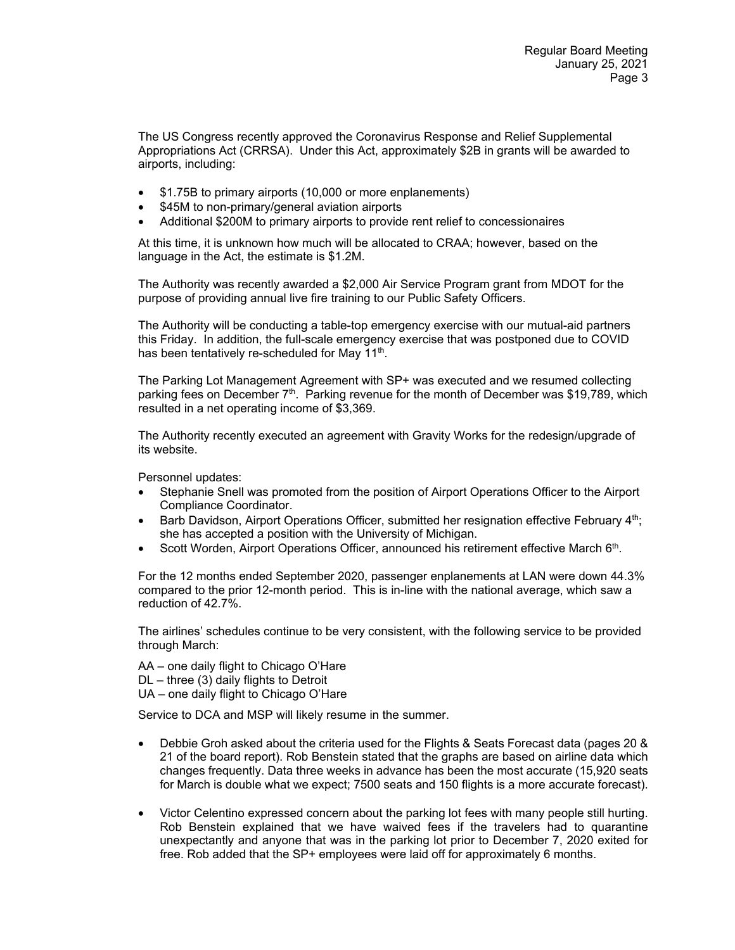The US Congress recently approved the Coronavirus Response and Relief Supplemental Appropriations Act (CRRSA). Under this Act, approximately \$2B in grants will be awarded to airports, including:

- \$1.75B to primary airports (10,000 or more enplanements)
- \$45M to non-primary/general aviation airports
- Additional \$200M to primary airports to provide rent relief to concessionaires

At this time, it is unknown how much will be allocated to CRAA; however, based on the language in the Act, the estimate is \$1.2M.

The Authority was recently awarded a \$2,000 Air Service Program grant from MDOT for the purpose of providing annual live fire training to our Public Safety Officers.

The Authority will be conducting a table-top emergency exercise with our mutual-aid partners this Friday. In addition, the full-scale emergency exercise that was postponed due to COVID has been tentatively re-scheduled for May 11<sup>th</sup>.

The Parking Lot Management Agreement with SP+ was executed and we resumed collecting parking fees on December 7<sup>th</sup>. Parking revenue for the month of December was \$19,789, which resulted in a net operating income of \$3,369.

The Authority recently executed an agreement with Gravity Works for the redesign/upgrade of its website.

Personnel updates:

- Stephanie Snell was promoted from the position of Airport Operations Officer to the Airport Compliance Coordinator.
- Barb Davidson, Airport Operations Officer, submitted her resignation effective February 4<sup>th</sup>; she has accepted a position with the University of Michigan.
- Scott Worden, Airport Operations Officer, announced his retirement effective March 6<sup>th</sup>.

For the 12 months ended September 2020, passenger enplanements at LAN were down 44.3% compared to the prior 12-month period. This is in-line with the national average, which saw a reduction of 42.7%.

The airlines' schedules continue to be very consistent, with the following service to be provided through March:

AA – one daily flight to Chicago O'Hare DL – three (3) daily flights to Detroit UA – one daily flight to Chicago O'Hare

Service to DCA and MSP will likely resume in the summer.

- Debbie Groh asked about the criteria used for the Flights & Seats Forecast data (pages 20 & 21 of the board report). Rob Benstein stated that the graphs are based on airline data which changes frequently. Data three weeks in advance has been the most accurate (15,920 seats for March is double what we expect; 7500 seats and 150 flights is a more accurate forecast).
- Victor Celentino expressed concern about the parking lot fees with many people still hurting. Rob Benstein explained that we have waived fees if the travelers had to quarantine unexpectantly and anyone that was in the parking lot prior to December 7, 2020 exited for free. Rob added that the SP+ employees were laid off for approximately 6 months.